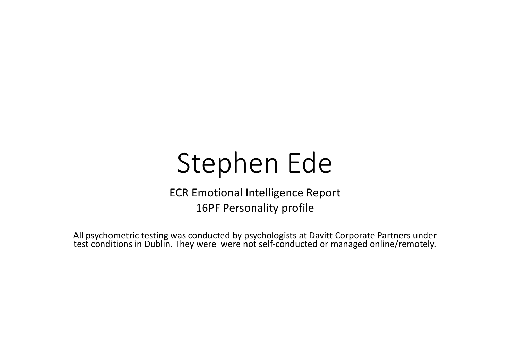# Stephen Ede

ECR Emotional Intelligence Report 16PF Personality profile

All psychometric testing was conducted by psychologists at Davitt Corporate Partners under test conditions in Dublin. They were were not self-conducted or managed online/remotely.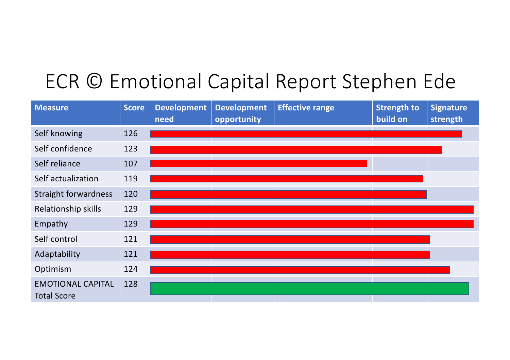## ECR © Emotional Capital Report Stephen Ede

| <b>Measure</b>                                 | Score | <b>Development</b><br>need | <b>Development</b><br>opportunity | <b>Effective range</b> | <b>Strength to</b><br>build on | <b>Signature</b><br>strength |
|------------------------------------------------|-------|----------------------------|-----------------------------------|------------------------|--------------------------------|------------------------------|
| Self knowing                                   | 126   |                            |                                   |                        |                                |                              |
| Self confidence                                | 123   |                            |                                   |                        |                                |                              |
| Self reliance                                  | 107   |                            |                                   |                        |                                |                              |
| Self actualization                             | 119   |                            |                                   |                        |                                |                              |
| <b>Straight forwardness</b>                    | 120   |                            |                                   |                        |                                |                              |
| Relationship skills                            | 129   |                            |                                   |                        |                                |                              |
| Empathy                                        | 129   |                            |                                   |                        |                                |                              |
| Self control                                   | 121   |                            |                                   |                        |                                |                              |
| Adaptability                                   | 121   |                            |                                   |                        |                                |                              |
| Optimism                                       | 124   |                            |                                   |                        |                                |                              |
| <b>EMOTIONAL CAPITAL</b><br><b>Total Score</b> | 128   |                            |                                   |                        |                                |                              |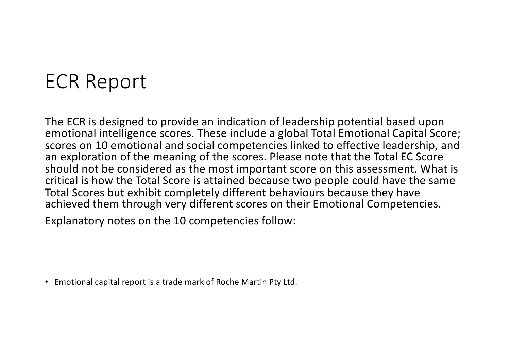#### ECR Report

The ECR is designed to provide an indication of leadership potential based upon emotional intelligence scores. These include a global Total Emotional Capital Score; scores on 10 emotional and social competencies linked to effective leadership, and an exploration of the meaning of the scores. Please note that the Total EC Score should not be considered as the most important score on this assessment. What is critical is how the Total Score is attained because two people could have the same Total Scores but exhibit completely different behaviours because they have achieved them through very different scores on their Emotional Competencies.

Explanatory notes on the 10 competencies follow:

• Emotional capital report is a trade mark of Roche Martin Pty Ltd.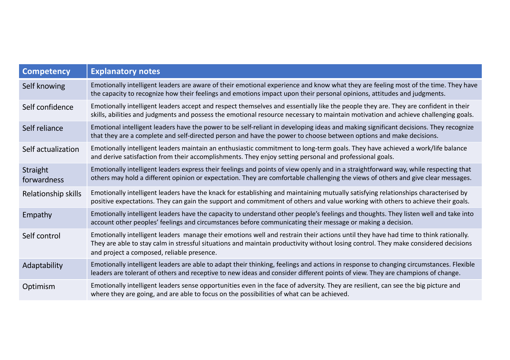| <b>Competency</b>       | <b>Explanatory notes</b>                                                                                                                                                                                                                                                                                                 |
|-------------------------|--------------------------------------------------------------------------------------------------------------------------------------------------------------------------------------------------------------------------------------------------------------------------------------------------------------------------|
| Self knowing            | Emotionally intelligent leaders are aware of their emotional experience and know what they are feeling most of the time. They have<br>the capacity to recognize how their feelings and emotions impact upon their personal opinions, attitudes and judgments.                                                            |
| Self confidence         | Emotionally intelligent leaders accept and respect themselves and essentially like the people they are. They are confident in their<br>skills, abilities and judgments and possess the emotional resource necessary to maintain motivation and achieve challenging goals.                                                |
| Self reliance           | Emotional intelligent leaders have the power to be self-reliant in developing ideas and making significant decisions. They recognize<br>that they are a complete and self-directed person and have the power to choose between options and make decisions.                                                               |
| Self actualization      | Emotionally intelligent leaders maintain an enthusiastic commitment to long-term goals. They have achieved a work/life balance<br>and derive satisfaction from their accomplishments. They enjoy setting personal and professional goals.                                                                                |
| Straight<br>forwardness | Emotionally intelligent leaders express their feelings and points of view openly and in a straightforward way, while respecting that<br>others may hold a different opinion or expectation. They are comfortable challenging the views of others and give clear messages.                                                |
| Relationship skills     | Emotionally intelligent leaders have the knack for establishing and maintaining mutually satisfying relationships characterised by<br>positive expectations. They can gain the support and commitment of others and value working with others to achieve their goals.                                                    |
| Empathy                 | Emotionally intelligent leaders have the capacity to understand other people's feelings and thoughts. They listen well and take into<br>account other peoples' feelings and circumstances before communicating their message or making a decision.                                                                       |
| Self control            | Emotionally intelligent leaders manage their emotions well and restrain their actions until they have had time to think rationally.<br>They are able to stay calm in stressful situations and maintain productivity without losing control. They make considered decisions<br>and project a composed, reliable presence. |
| Adaptability            | Emotionally intelligent leaders are able to adapt their thinking, feelings and actions in response to changing circumstances. Flexible<br>leaders are tolerant of others and receptive to new ideas and consider different points of view. They are champions of change.                                                 |
| Optimism                | Emotionally intelligent leaders sense opportunities even in the face of adversity. They are resilient, can see the big picture and<br>where they are going, and are able to focus on the possibilities of what can be achieved.                                                                                          |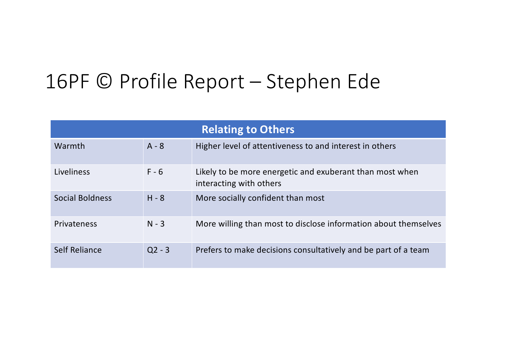| <b>Relating to Others</b> |          |                                                                                     |  |
|---------------------------|----------|-------------------------------------------------------------------------------------|--|
| Warmth                    | $A - 8$  | Higher level of attentiveness to and interest in others                             |  |
| Liveliness                | $F - 6$  | Likely to be more energetic and exuberant than most when<br>interacting with others |  |
| <b>Social Boldness</b>    | $H - 8$  | More socially confident than most                                                   |  |
| Privateness               | $N - 3$  | More willing than most to disclose information about themselves                     |  |
| Self Reliance             | $Q2 - 3$ | Prefers to make decisions consultatively and be part of a team                      |  |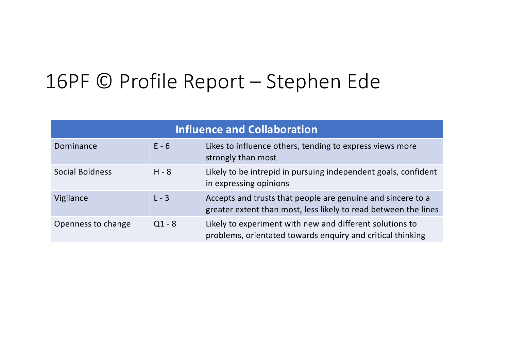| <b>Influence and Collaboration</b> |          |                                                                                                                                |  |
|------------------------------------|----------|--------------------------------------------------------------------------------------------------------------------------------|--|
| Dominance                          | $E - 6$  | Likes to influence others, tending to express views more<br>strongly than most                                                 |  |
| <b>Social Boldness</b>             | $H - 8$  | Likely to be intrepid in pursuing independent goals, confident<br>in expressing opinions                                       |  |
| Vigilance                          | $L - 3$  | Accepts and trusts that people are genuine and sincere to a<br>greater extent than most, less likely to read between the lines |  |
| Openness to change                 | $Q1 - 8$ | Likely to experiment with new and different solutions to<br>problems, orientated towards enquiry and critical thinking         |  |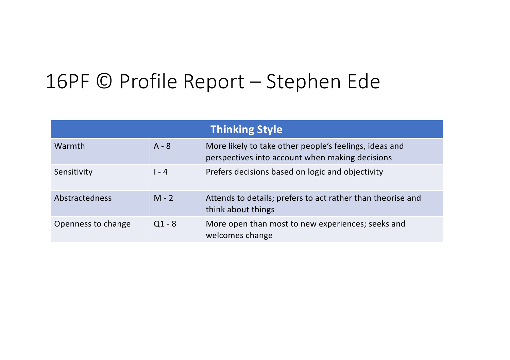| <b>Thinking Style</b> |          |                                                                                                           |  |
|-----------------------|----------|-----------------------------------------------------------------------------------------------------------|--|
| Warmth                | $A - 8$  | More likely to take other people's feelings, ideas and<br>perspectives into account when making decisions |  |
| Sensitivity           | $1 - 4$  | Prefers decisions based on logic and objectivity                                                          |  |
| <b>Abstractedness</b> | $M - 2$  | Attends to details; prefers to act rather than theorise and<br>think about things                         |  |
| Openness to change    | $Q1 - 8$ | More open than most to new experiences; seeks and<br>welcomes change                                      |  |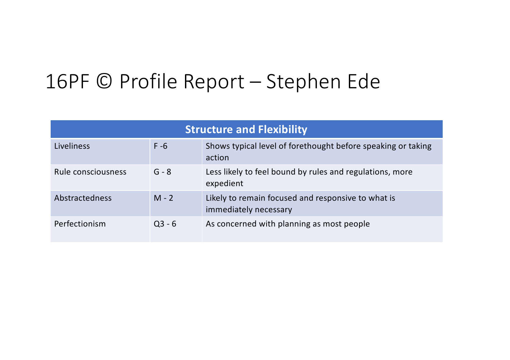| <b>Structure and Flexibility</b> |          |                                                                             |  |
|----------------------------------|----------|-----------------------------------------------------------------------------|--|
| Liveliness                       | $F - 6$  | Shows typical level of forethought before speaking or taking<br>action      |  |
| Rule consciousness               | $G - 8$  | Less likely to feel bound by rules and regulations, more<br>expedient       |  |
| Abstractedness                   | $M - 2$  | Likely to remain focused and responsive to what is<br>immediately necessary |  |
| Perfectionism                    | $Q3 - 6$ | As concerned with planning as most people                                   |  |